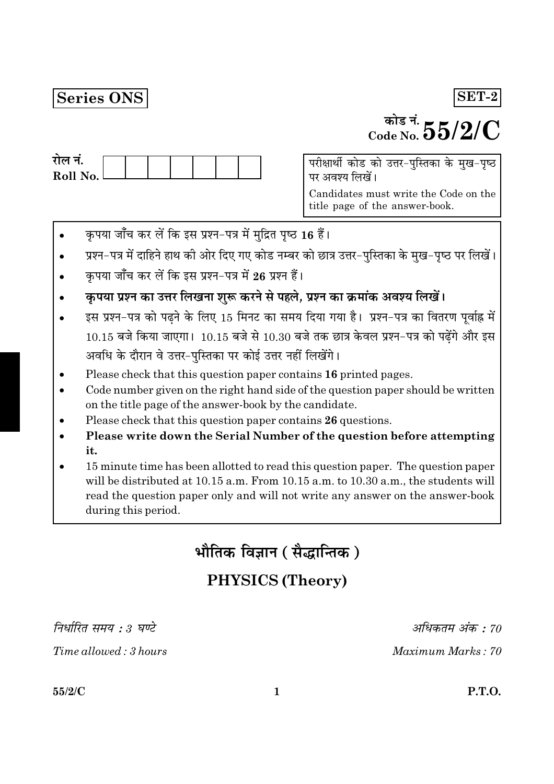# Series ONS

# <sup>कोड नं.</sup>  $55/2/C$

| राल न.     |  |  |  |  |
|------------|--|--|--|--|
| Roll No. l |  |  |  |  |
|            |  |  |  |  |

परीक्षार्थी कोड को उत्तर-पुस्तिका के मुख-पृष्ठ पर अवश्य लिखें।

Candidates must write the Code on the title page of the answer-book.

- कृपया जाँच कर लें कि इस प्रश्न-पत्र में मुद्रित पृष्ठ 16 हैं।
- प्रश्न-पत्र में दाहिने हाथ की ओर दिए गए कोड नम्बर को छात्र उत्तर-पुस्तिका के मुख-पृष्ठ पर लिखें।
- कपया जाँच कर लें कि इस प्रश्न-पत्र में 26 प्रश्न हैं।
- कृपया प्रश्न का उत्तर लिखना शुरू करने से पहले, प्रश्न का क्रमांक अवश्य लिखें।
- इस प्रश्न-पत्र को पढ़ने के लिए 15 मिनट का समय दिया गया है। प्रश्न-पत्र का वितरण पूर्वाह्न में  $10.15$  बजे किया जाएगा।  $10.15$  बजे से  $10.30$  बजे तक छात्र केवल प्रश्न-पत्र को पढ़ेंगे और इस अवधि के दौरान वे उत्तर-पुस्तिका पर कोई उत्तर नहीं लिखेंगे।
- Please check that this question paper contains 16 printed pages.
- Code number given on the right hand side of the question paper should be written on the title page of the answer-book by the candidate.
- Please check that this question paper contains 26 questions.
- Please write down the Serial Number of the question before attempting it.
- 15 minute time has been allotted to read this question paper. The question paper will be distributed at 10.15 a.m. From 10.15 a.m. to 10.30 a.m., the students will read the question paper only and will not write any answer on the answer-book during this period.

भौतिक विज्ञान ( सैद्धान्तिक )

# **PHYSICS (Theory)**

निर्धारित समय : ३ घण्टे

Time allowed: 3 hours

अधिकतम अंक : 70

Maximum Marks: 70

 $55/2/C$ 

 $SET-2$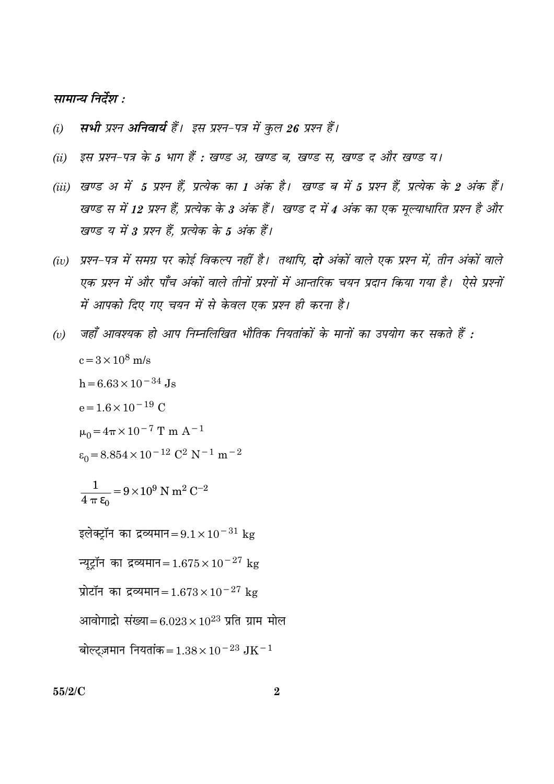#### सामान्य निर्देश :

- सभी प्रश्न अनिवार्य हैं। इस प्रश्न-पत्र में कुल 26 प्रश्न हैं।  $(i)$
- इस प्रश्न-पत्र के 5 भाग हैं : खण्ड अ, खण्ड ब, खण्ड स, खण्ड द और खण्ड य।  $(ii)$
- (iii) खण्ड अ में 5 प्रश्न हैं, प्रत्येक का 1 अंक है। खण्ड ब में 5 प्रश्न हैं, प्रत्येक के 2 अंक हैं। खण्ड स में 12 प्रश्न हैं, प्रत्येक के 3 अंक हैं। खण्ड द में 4 अंक का एक मूल्याधारित प्रश्न है और खण्ड य में 3 प्रश्न हैं. प्रत्येक के 5 अंक हैं।
- (iv) प्रश्न-पत्र में समग्र पर कोई विकल्प नहीं है। तथापि, **दो** अंकों वाले एक प्रश्न में, तीन अंकों वाले एक प्रश्न में और पाँच अंकों वाले तीनों प्रश्नों में आन्तरिक चयन प्रदान किया गया है। ऐसे प्रश्नों में आपको दिए गए चयन में से केवल एक प्रश्न ही करना है।
- जहाँ आवश्यक हो आप निम्नलिखित भौतिक नियतांकों के मानों का उपयोग कर सकते हैं :  $(v)$  $c = 3 \times 10^8$  m/s  $h = 6.63 \times 10^{-34}$  Js  $e = 1.6 \times 10^{-19}$  C  $\mu_0 = 4\pi \times 10^{-7}$  T m A<sup>-1</sup>  $\varepsilon_0 = 8.854 \times 10^{-12} \text{ C}^2 \text{ N}^{-1} \text{ m}^{-2}$  $\frac{1}{4 \pi \epsilon_0} = 9 \times 10^9$  N m<sup>2</sup> C<sup>-2</sup> इलेक्ट्रॉन का द्रव्यमान= $9.1 \times 10^{-31}$  kg न्यूट्रॉन का द्रव्यमान=1.675 $\times$ 10<sup>-27</sup> kg प्रोटॉन का द्रव्यमान=  $1.673 \times 10^{-27}$  kg आवोगाद्रो संख्या=6.023×10<sup>23</sup> प्रति ग्राम मोल बोल्टज़मान नियतांक = 1.38 × 10<sup>-23</sup> JK<sup>-1</sup>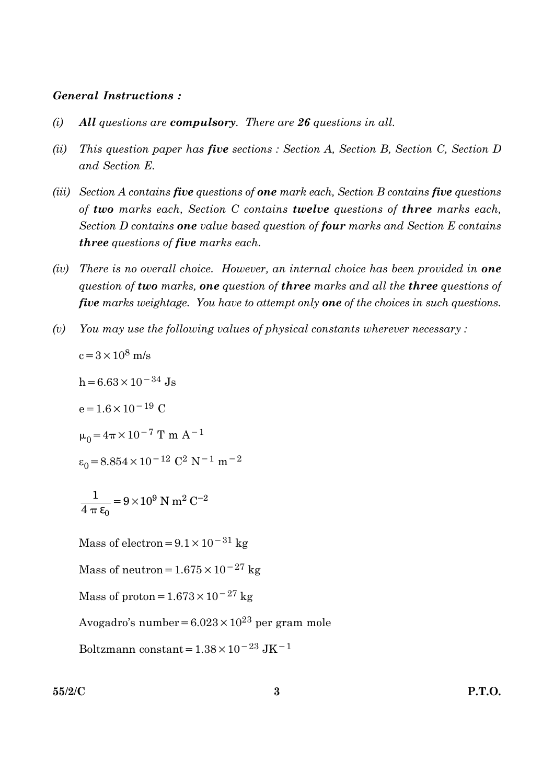#### **General Instructions:**

- All questions are compulsory. There are 26 questions in all.  $(i)$
- $(ii)$ This question paper has five sections : Section A, Section B, Section C, Section D and Section E.
- (iii) Section A contains five questions of one mark each, Section B contains five questions of two marks each, Section C contains twelve questions of three marks each, Section D contains one value based question of four marks and Section E contains **three** questions of five marks each.
- (iv) There is no overall choice. However, an internal choice has been provided in **one** question of two marks, one question of three marks and all the three questions of five marks weightage. You have to attempt only one of the choices in such questions.
- You may use the following values of physical constants wherever necessary:  $(v)$

 $c = 3 \times 10^8$  m/s

$$
h = 6.63 \times 10^{-34}
$$
 Js

 $e = 1.6 \times 10^{-19}$  C

$$
\mu_0 = 4\pi \times 10^{-7}
$$
 T m A<sup>-1</sup>

$$
\varepsilon_0 = 8.854 \times 10^{-12} \text{ C}^2 \text{ N}^{-1} \text{ m}^{-2}
$$

$$
\frac{1}{4 \pi \epsilon_0} = 9 \times 10^9 \text{ N m}^2 \text{ C}^{-2}
$$

Mass of electron =  $9.1 \times 10^{-31}$  kg

Mass of neutron =  $1.675 \times 10^{-27}$  kg

Mass of proton =  $1.673 \times 10^{-27}$  kg

Avogadro's number =  $6.023 \times 10^{23}$  per gram mole

Boltzmann constant =  $1.38\times10^{-23}\rm~J K^{-1}$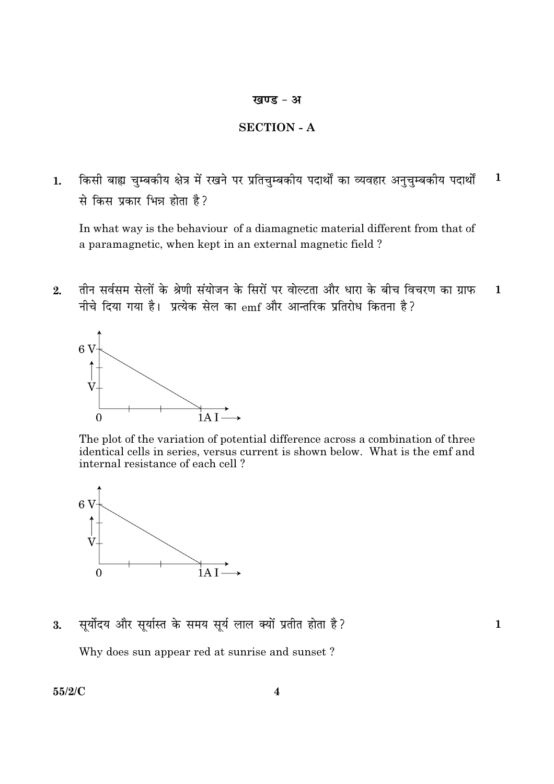#### खण्ड - अ

#### **SECTION - A**

किसी बाह्य चुम्बकीय क्षेत्र में रखने पर प्रतिचुम्बकीय पदार्थों का व्यवहार अनुचुम्बकीय पदार्थों  $\mathbf{1}$  $1.$ से किस प्रकार भिन्न होता है?

In what way is the behaviour of a diamagnetic material different from that of a paramagnetic, when kept in an external magnetic field?

तीन सर्वसम सेलों के श्रेणी संयोजन के सिरों पर वोल्टता और धारा के बीच विचरण का ग्राफ  $2.$  $\mathbf{1}$ नीचे दिया गया है। प्रत्येक सेल का emf और आन्तरिक प्रतिरोध कितना है?



The plot of the variation of potential difference across a combination of three identical cells in series, versus current is shown below. What is the emf and internal resistance of each cell?



सूर्योदय और सूर्यास्त के समय सूर्य लाल क्यों प्रतीत होता है? 3.

 $\mathbf{1}$ 

Why does sun appear red at sunrise and sunset?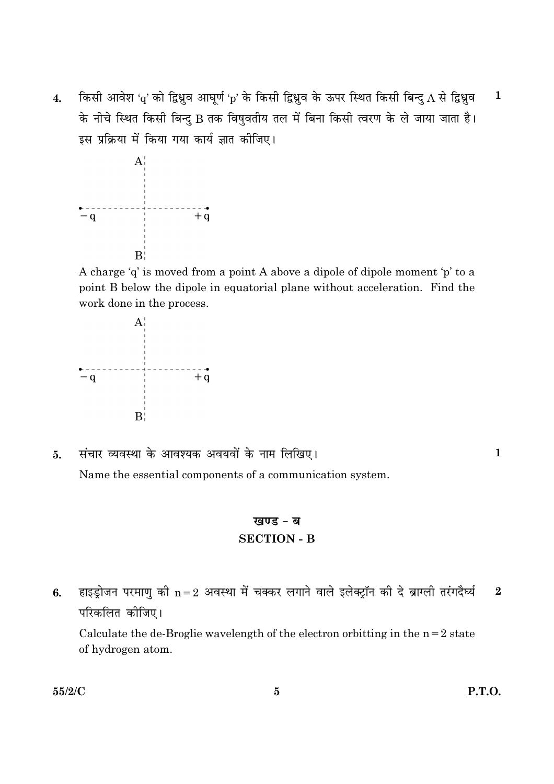किसी आवेश 'q' को द्विध्नुव आघूर्ण 'p' के किसी द्विध्नुव के ऊपर स्थित किसी बिन्दु A से द्विध्नुव  $\mathbf{1}$  $\overline{4}$ . के नीचे स्थित किसी बिन्दु B तक विषुवतीय तल में बिना किसी त्वरण के ले जाया जाता है। इस प्रक्रिया में किया गया कार्य ज्ञात कीजिए।



A charge 'q' is moved from a point A above a dipole of dipole moment 'p' to a point B below the dipole in equatorial plane without acceleration. Find the work done in the process.



संचार व्यवस्था के आवश्यक अवयवों के नाम लिखिए।  $5<sub>1</sub>$ Name the essential components of a communication system.

### खण्ड - ब **SECTION - B**

हाइड्रोजन परमाणु की  $n=2$  अवस्था में चक्कर लगाने वाले इलेक्ट्रॉन की दे ब्राग्ली तरंगदैर्घ्य  $\overline{2}$ 6. परिकलित कीजिए।

Calculate the de-Broglie wavelength of the electron orbitting in the  $n=2$  state of hydrogen atom.

 $\mathbf{1}$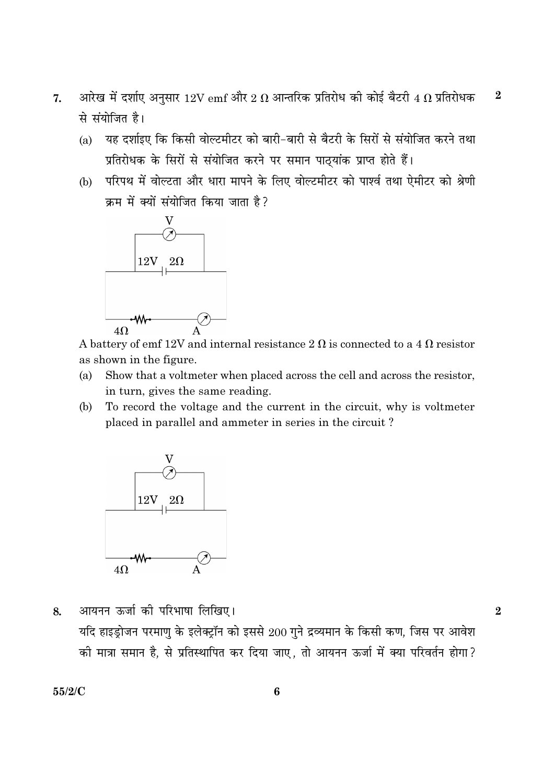- आरेख में दर्शाए अनुसार  $12\mathrm{V\,emf}$  और  $2\ \Omega$  आन्तरिक प्रतिरोध की कोई बैटरी  $4\ \Omega$  प्रतिरोधक  $\boldsymbol{2}$ 7. से संयोजित है।
	- यह दर्शाइए कि किसी वोल्टमीटर को बारी-बारी से बैटरी के सिरों से संयोजित करने तथा  $(a)$ प्रतिरोधक के सिरों से संयोजित करने पर समान पाठयांक प्राप्त होते हैं।
	- (b) परिपथ में वोल्टता और धारा मापने के लिए वोल्टमीटर को पार्श्व तथा ऐमीटर को श्रेणी क्रम में क्यों संयोजित किया जाता है?



A battery of emf 12V and internal resistance 2  $\Omega$  is connected to a 4  $\Omega$  resistor as shown in the figure.

- Show that a voltmeter when placed across the cell and across the resistor,  $(a)$ in turn, gives the same reading.
- To record the voltage and the current in the circuit, why is voltmeter (b) placed in parallel and ammeter in series in the circuit?



आयनन ऊर्जा की परिभाषा लिखिए। 8. यदि हाइड्रोजन परमाणु के इलेक्ट्रॉन को इससे 200 गुने द्रव्यमान के किसी कण, जिस पर आवेश की मात्रा समान है, से प्रतिस्थापित कर दिया जाए, तो आयनन ऊर्जा में क्या परिवर्तन होगा?

 $55/2/C$ 

 $\overline{2}$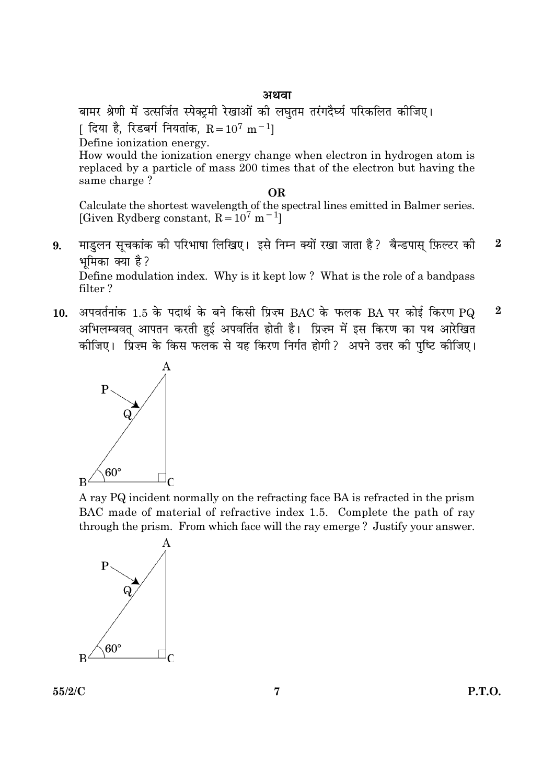बामर श्रेणी में उत्सर्जित स्पेक्टमी रेखाओं की लघृतम तरंगदैर्घ्य परिकलित कीजिए।

 $\left[ \right]$  दिया है. रिडबर्ग नियतांक. R = 10<sup>7</sup> m $^{-1}$ l

Define ionization energy.

How would the ionization energy change when electron in hydrogen atom is replaced by a particle of mass 200 times that of the electron but having the same charge?

#### **OR**

Calculate the shortest wavelength of the spectral lines emitted in Balmer series. [Given Rydberg constant,  $R = 10^7$  m<sup>-1</sup>]

माड़लन सूचकांक की परिभाषा लिखिए। इसे निम्न क्यों रखा जाता है? बैन्डपास् फ़िल्टर की  $\overline{2}$ 9. भमिका क्या है? Define modulation index. Why is it kept low? What is the role of a bandpass

filter?

10. अपवर्तनांक 1.5 के पदार्थ के बने किसी प्रिज़्म BAC के फलक BA पर कोई किरण PQ  $\overline{2}$ अभिलम्बवत् आपतन करती हुई अपवर्तित होती है। प्रिज़्म में इस किरण का पथ आरेखित कीजिए। प्रिज़्म के किस फलक से यह किरण निर्गत होगी ? अपने उत्तर की पुष्टि कीजिए।



A ray PQ incident normally on the refracting face BA is refracted in the prism BAC made of material of refractive index 1.5. Complete the path of ray through the prism. From which face will the ray emerge? Justify your answer.

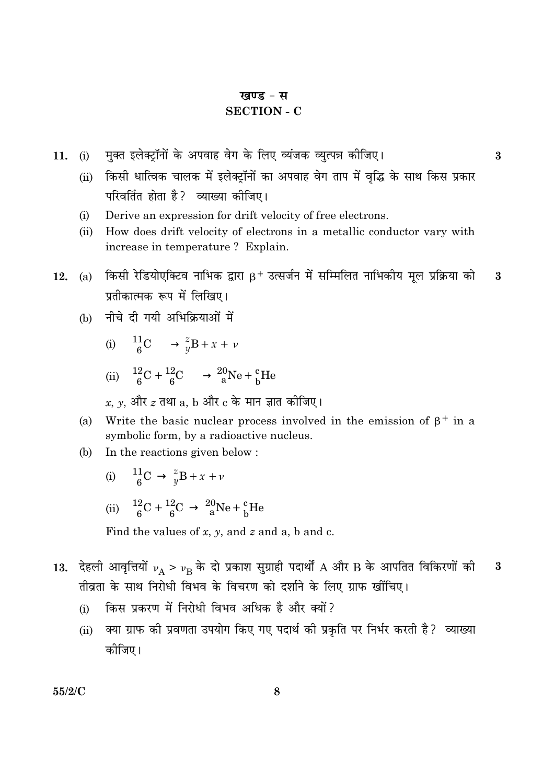#### खण्ड - स

#### **SECTION - C**

मुक्त इलेक्ट्रॉनों के अपवाह वेग के लिए व्यंजक व्युत्पन्न कीजिए।  $(i)$ 11.

# (ii) किसी धात्विक चालक में इलेक्ट्रॉनों का अपवाह वेग ताप में वृद्धि के साथ किस प्रकार परिवर्तित होता है? व्याख्या कीजिए।

 $\boldsymbol{3}$ 

- Derive an expression for drift velocity of free electrons.  $(i)$
- How does drift velocity of electrons in a metallic conductor vary with  $(ii)$ increase in temperature? Explain.
- (a) किसी रेडियोएक्टिव नाभिक द्वारा  $\beta$ + उत्सर्जन में सम्मिलित नाभिकीय मूल प्रक्रिया को 3 12. प्रतीकात्मक रूप में लिखिए।
	- (b) नीचे दी गयी अभिक्रियाओं में

(i) 
$$
\frac{11}{6}
$$
C  $\longrightarrow \frac{z}{y}$ B + x + v

(ii) 
$$
{}_{6}^{12}\text{C} + {}_{6}^{12}\text{C} \longrightarrow {}_{a}^{20}\text{Ne} + {}_{b}^{c}\text{He}
$$

$$
x,\,y,\,\stackrel{\rightharpoonup}{\rightarrow}\,\stackrel{\rightharpoonup}{z}\,\stackrel{\rightharpoonup}{z}\,\stackrel{\rightharpoonup}{z}\,\stackrel{\rightharpoonup}{u}\,\stackrel{\rightharpoonup}{z}\,\stackrel{\rightharpoonup}{z}\,\stackrel{\rightharpoonup}{z}\,\stackrel{\rightharpoonup}{z}\,\stackrel{\rightharpoonup}{z}\,\stackrel{\rightharpoonup}{z}\,\stackrel{\rightharpoonup}{z}\,\stackrel{\rightharpoonup}{z}\,\stackrel{\rightharpoonup}{z}\,\stackrel{\rightharpoonup}{z}\,\stackrel{\rightharpoonup}{z}\,\stackrel{\rightharpoonup}{z}\,\stackrel{\rightharpoonup}{z}\,\stackrel{\rightharpoonup}{z}\,\stackrel{\rightharpoonup}{z}\,\stackrel{\rightharpoonup}{z}\,\stackrel{\rightharpoonup}{z}\,\stackrel{\rightharpoonup}{z}\,\stackrel{\rightharpoonup}{z}\,\stackrel{\rightharpoonup}{z}\,\stackrel{\rightharpoonup}{z}\,\stackrel{\rightharpoonup}{z}\,\stackrel{\rightharpoonup}{z}\,\stackrel{\rightharpoonup}{z}\,\stackrel{\rightharpoonup}{z}\,\stackrel{\rightharpoonup}{z}\,\stackrel{\rightharpoonup}{z}\,\stackrel{\rightharpoonup}{z}\,\stackrel{\rightharpoonup}{z}\,\stackrel{\rightharpoonup}{z}\,\stackrel{\rightharpoonup}{z}\,\stackrel{\rightharpoonup}{z}\,\stackrel{\rightharpoonup}{z}\,\stackrel{\rightharpoonup}{z}\,\stackrel{\rightharpoonup}{z}\,\stackrel{\rightharpoonup}{z}\,\stackrel{\rightharpoonup}{z}\,\stackrel{\rightharpoonup}{z}\,\stackrel{\rightharpoonup}{z}\,\stackrel{\rightharpoonup}{z}\,\stackrel{\rightharpoonup}{z}\,\stackrel{\rightharpoonup}{z}\,\stackrel{\rightharpoonup}{z}\,\stackrel{\rightharpoonup}{z}\,\stackrel{\rightharpoonup}{z}\,\stackrel{\rightharpoonup}{z}\,\stackrel{\rightharpoonup}{z}\,\stackrel{\rightharpoonup}{z}\,\stackrel{\rightharpoonup}{z}\,\stackrel{\rightharpoonup}{z}\,\stackrel{\rightharpoonup}{z}\,\stackrel{\rightharpoonup}{z}\,\stackrel{\rightharpoonup}{z}\,\stackrel{\rightharpoonup}{z}\,\stackrel{\rightharpoonup}{z}\,\stackrel{\rightharpoonup}{z}\,\stackrel{\rightharpoonup}{z}\,\stackrel{\rightharpoon
$$

- (a) Write the basic nuclear process involved in the emission of  $\beta^+$  in a symbolic form, by a radioactive nucleus.
- In the reactions given below: (b)

(i) 
$$
{}_{6}^{11}C \rightarrow {}_{y}^{z}B + x + \nu
$$
  
\n(ii)  ${}_{6}^{12}C + {}_{6}^{12}C \rightarrow {}_{a}^{20}Ne + {}_{b}^{c}He$ 

Find the values of x, y, and z and a, b and c.

- 13. देहली आवृत्तियों  $v_A > v_B$  के दो प्रकाश सुग्राही पदार्थों A और B के आपतित विकिरणों की  $\boldsymbol{3}$ तीवता के साथ निरोधी विभव के विचरण को दर्शाने के लिए ग्राफ खींचिए।
	- किस प्रकरण में निरोधी विभव अधिक है और क्यों?  $(i)$
	- (ii) क्या ग्राफ की प्रवणता उपयोग किए गए पदार्थ की प्रकृति पर निर्भर करती है? व्याख्या कोजिए।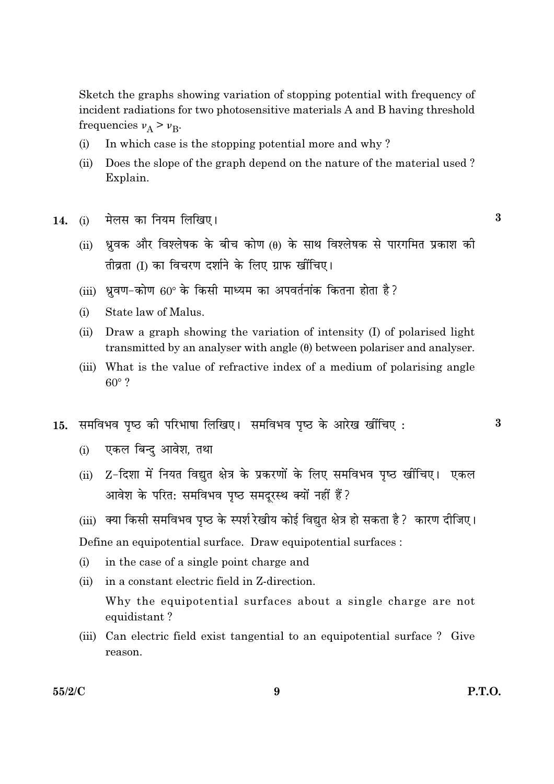Sketch the graphs showing variation of stopping potential with frequency of incident radiations for two photosensitive materials A and B having threshold frequencies  $v_A > v_B$ .

- In which case is the stopping potential more and why?  $(i)$
- $(ii)$ Does the slope of the graph depend on the nature of the material used? Explain.
- मेलस का नियम लिखिए।  $14$  $(i)$ 
	- ध्रवक और विश्लेषक के बीच कोण (0) के साथ विश्लेषक से पारगमित प्रकाश की  $(ii)$ तीव्रता (I) का विचरण दर्शाने के लिए ग्राफ खींचिए।
	- (iii) धवण-कोण 60° के किसी माध्यम का अपवर्तनांक कितना होता है?
	- $(i)$ State law of Malus.
	- $(ii)$ Draw a graph showing the variation of intensity (I) of polarised light transmitted by an analyser with angle  $(\theta)$  between polariser and analyser.
	- (iii) What is the value of refractive index of a medium of polarising angle  $60^\circ$  ?
- समविभव पृष्ठ को परिभाषा लिखिए। समविभव पृष्ठ के आरेख खींचिए: 15.
	- एकल बिन्द आवेश, तथा  $(i)$
	- (ii) Z-दिशा में नियत विद्युत क्षेत्र के प्रकरणों के लिए समविभव पृष्ठ खींचिए। एकल आवेश के परित: समविभव पृष्ठ समदुरस्थ क्यों नहीं हैं?
	- (iii) क्या किसी समविभव पृष्ठ के स्पर्श रेखीय कोई विद्युत क्षेत्र हो सकता है ? कारण दीजिए।

Define an equipotential surface. Draw equipotential surfaces :

- $(i)$ in the case of a single point charge and
- in a constant electric field in Z-direction.  $(ii)$ Why the equipotential surfaces about a single charge are not equidistant?
- (iii) Can electric field exist tangential to an equipotential surface? Give reason.

9

3

 $\bf{3}$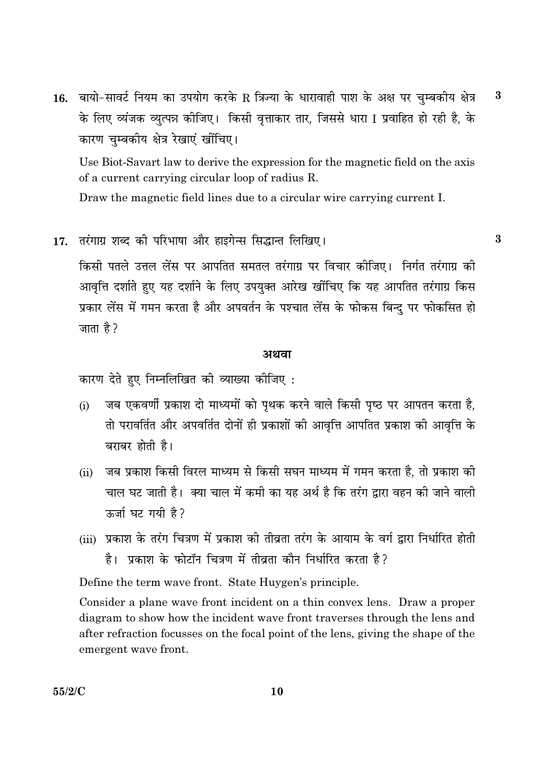16. बायो-सावर्ट नियम का उपयोग करके R त्रिज्या के धारावाही पाश के अक्ष पर चुम्बकीय क्षेत्र  $\bf{3}$ के लिए व्यंजक व्युत्पन्न कीजिए। किसी वृत्ताकार तार, जिससे धारा I प्रवाहित हो रही है, के कारण चम्बकीय क्षेत्र रेखाएं खींचिए।

Use Biot-Savart law to derive the expression for the magnetic field on the axis of a current carrying circular loop of radius R.

Draw the magnetic field lines due to a circular wire carrying current I.

17. तरंगाग्र शब्द की परिभाषा और हाइगेन्स सिद्धान्त लिखिए।

किसी पतले उत्तल लेंस पर आपतित समतल तरंगाग्र पर विचार कोजिए। निर्गत तरंगाग्र की आवृत्ति दर्शाते हुए यह दर्शाने के लिए उपयुक्त आरेख खींचिए कि यह आपतित तरंगाग्र किस प्रकार लेंस में गमन करता है और अपवर्तन के पश्चात लेंस के फोकस बिन्दु पर फोकसित हो जाता है ?

#### अथवा

कारण देते हुए निम्नलिखित की व्याख्या कीजिए:

- जब एकवर्णी प्रकाश दो माध्यमों को पृथक करने वाले किसी पृष्ठ पर आपतन करता है.  $(i)$ तो परावर्तित और अपवर्तित दोनों ही प्रकाशों की आवृत्ति आपतित प्रकाश की आवृत्ति के बराबर होती है।
- जब प्रकाश किसी विरल माध्यम से किसी सघन माध्यम में गमन करता है. तो प्रकाश की  $(ii)$ चाल घट जाती है। क्या चाल में कमी का यह अर्थ है कि तरंग द्वारा वहन की जाने वाली ऊर्जा घट गयी है?
- (iii) प्रकाश के तरंग चित्रण में प्रकाश की तीव्रता तरंग के आयाम के वर्ग द्रारा निर्धारित होती है। प्रकाश के फोटॉन चित्रण में तीव्रता कौन निर्धारित करता है?

Define the term wave front. State Huygen's principle.

Consider a plane wave front incident on a thin convex lens. Draw a proper diagram to show how the incident wave front traverses through the lens and after refraction focusses on the focal point of the lens, giving the shape of the emergent wave front.

 $\bf{3}$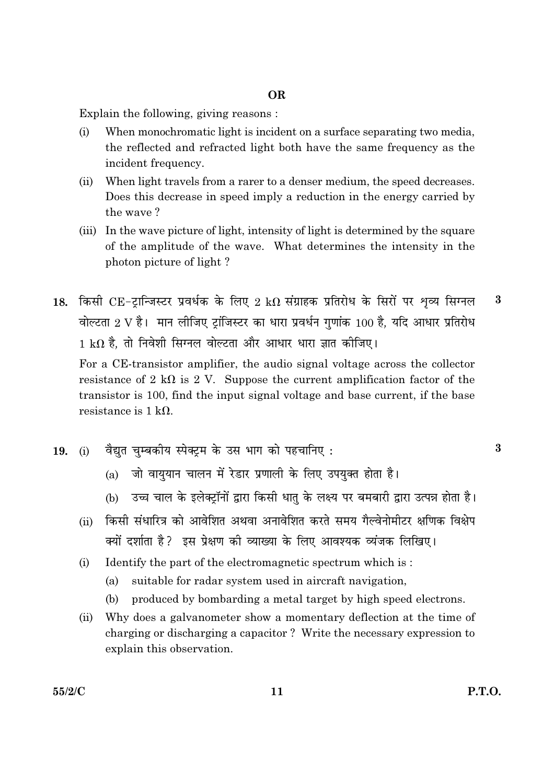#### **OR**

Explain the following, giving reasons:

- $(i)$ When monochromatic light is incident on a surface separating two media, the reflected and refracted light both have the same frequency as the incident frequency.
- When light travels from a rarer to a denser medium, the speed decreases.  $(ii)$ Does this decrease in speed imply a reduction in the energy carried by the wave?
- (iii) In the wave picture of light, intensity of light is determined by the square of the amplitude of the wave. What determines the intensity in the photon picture of light?
- 18. किसी CE-टान्जिस्टर प्रवर्धक के लिए 2 kΩ संग्राहक प्रतिरोध के सिरों पर शव्य सिग्नल  $\bf{3}$ वोल्टता 2 V है। मान लीजिए टांजिस्टर का धारा प्रवर्धन गणांक 100 है. यदि आधार प्रतिरोध  $1 \text{ k}\Omega$  है. तो निवेशी सिग्नल वोल्टता और आधार धारा ज्ञात कीजिए।

For a CE-transistor amplifier, the audio signal voltage across the collector resistance of 2 k $\Omega$  is 2 V. Suppose the current amplification factor of the transistor is 100, find the input signal voltage and base current, if the base resistance is  $1 \text{ k}\Omega$ .

- वैद्यत चम्बकीय स्पेक्टम के उस भाग को पहचानिए: 19.  $(i)$ 
	- जो वाययान चालन में रेडार प्रणाली के लिए उपयक्त होता है।  $(a)$
	- (b) उच्च चाल के इलेक्ट्रॉनों द्वारा किसी धातु के लक्ष्य पर बमबारी द्वारा उत्पन्न होता है।
	- किसी संधारित्र को आवेशित अथवा अनावेशित करते समय गैल्वेनोमीटर क्षणिक विक्षेप  $(ii)$ क्यों दर्शाता है? इस प्रेक्षण की व्याख्या के लिए आवश्यक व्यंजक लिखिए।
	- $(i)$ Identify the part of the electromagnetic spectrum which is:
		- $(a)$ suitable for radar system used in aircraft navigation,
		- $(h)$ produced by bombarding a metal target by high speed electrons.
	- Why does a galvanometer show a momentary deflection at the time of  $(ii)$ charging or discharging a capacitor? Write the necessary expression to explain this observation.

 $\bf{3}$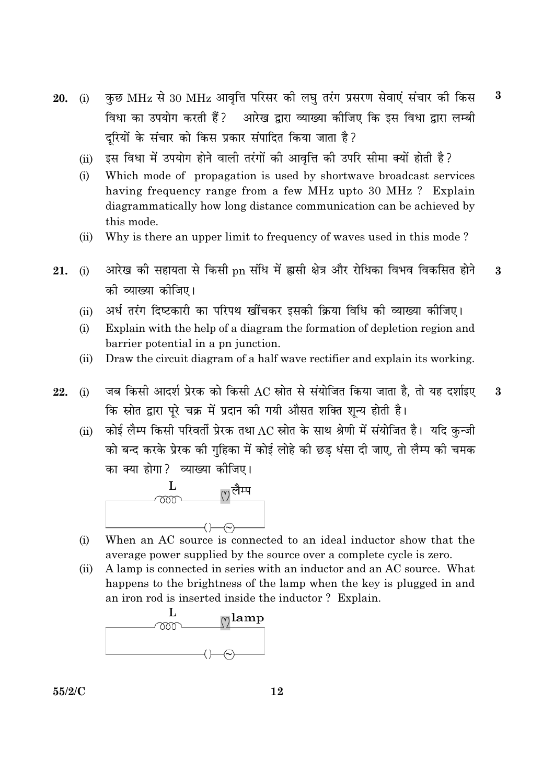- कुछ MHz से 30 MHz आवृत्ति परिसर की लघु तरंग प्रसरण सेवाएं संचार की किस  $\bf{3}$  $20.$  (i) विधा का उपयोग करती हैं? आरेख द्वारा व्याख्या कीजिए कि इस विधा द्वारा लम्बी दरियों के संचार को किस प्रकार संपादित किया जाता है?
	- इस विधा में उपयोग होने वाली तरंगों की आवत्ति की उपरि सीमा क्यों होती है?  $(ii)$
	- Which mode of propagation is used by shortwave broadcast services  $(i)$ having frequency range from a few MHz upto 30 MHz? Explain diagrammatically how long distance communication can be achieved by this mode.
	- Why is there an upper limit to frequency of waves used in this mode?  $(ii)$
- आरेख की सहायता से किसी pn संधि में ह्रासी क्षेत्र और रोधिका विभव विकसित होने 21.  $(i)$  $\mathbf{3}$ को व्याख्या कोजिए।
	- अर्ध तरंग दिष्टकारी का परिपथ खींचकर इसकी क्रिया विधि की व्याख्या कीजिए।  $(ii)$
	- $(i)$ Explain with the help of a diagram the formation of depletion region and barrier potential in a pn junction.
	- Draw the circuit diagram of a half wave rectifier and explain its working.  $(ii)$
- जब किसी आदर्श प्रेरक को किसी AC स्रोत से संयोजित किया जाता है, तो यह दर्शाइए 22.  $(i)$  $\boldsymbol{3}$ कि स्रोत द्वारा पूरे चक्र में प्रदान की गयी औसत शक्ति शून्य होती है।
	- कोई लैम्प किसी परिवर्ती प्रेरक तथा AC स्रोत के साथ श्रेणी में संयोजित है। यदि कुन्जी  $(ii)$ को बन्द करके प्रेरक की गुहिका में कोई लोहे की छड़ धंसा दी जाए, तो लैम्प की चमक का क्या होगा? व्याख्या कीजिए।



- When an AC source is connected to an ideal inductor show that the  $(i)$ average power supplied by the source over a complete cycle is zero.
- $(ii)$ A lamp is connected in series with an inductor and an AC source. What happens to the brightness of the lamp when the key is plugged in and an iron rod is inserted inside the inductor? Explain.

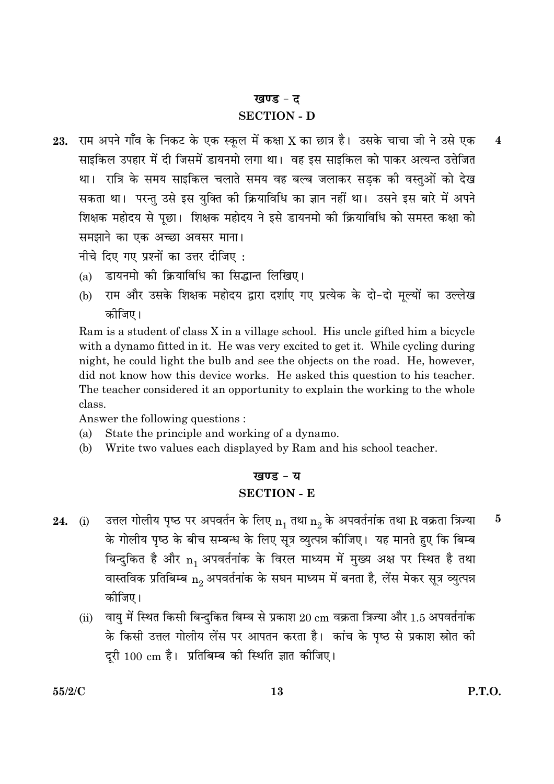#### खण्ड - द

#### **SECTION - D**

राम अपने गाँव के निकट के एक स्कूल में कक्षा X का छात्र है। उसके चाचा जी ने उसे एक 23.  $\overline{\mathbf{4}}$ साइकिल उपहार में दी जिसमें डायनमो लगा था। वह इस साइकिल को पाकर अत्यन्त उत्तेजित था। रात्रि के समय साइकिल चलाते समय वह बल्ब जलाकर सडक की वस्तओं को देख सकता था। परन्त उसे इस यक्ति की क्रियाविधि का ज्ञान नहीं था। उसने इस बारे में अपने शिक्षक महोदय से पूछा। शिक्षक महोदय ने इसे डायनमो की क्रियाविधि को समस्त कक्षा को समझाने का एक अच्छा अवसर माना।

नीचे दिए गए प्रश्नों का उत्तर दीजिए:

- डायनमो की क्रियाविधि का सिद्धान्त लिखिए।  $(a)$
- राम और उसके शिक्षक महोदय द्वारा दर्शाए गए प्रत्येक के दो-दो मुल्यों का उल्लेख  $(h)$ कोजिए।

Ram is a student of class X in a village school. His uncle gifted him a bicycle with a dynamo fitted in it. He was very excited to get it. While cycling during night, he could light the bulb and see the objects on the road. He, however, did not know how this device works. He asked this question to his teacher. The teacher considered it an opportunity to explain the working to the whole class.

Answer the following questions:

- $(a)$ State the principle and working of a dynamo.
- (b) Write two values each displayed by Ram and his school teacher.

## खण्ड - य **SECTION - E**

- उत्तल गोलीय पृष्ठ पर अपवर्तन के लिए  $n_1$  तथा  $n_2$  के अपवर्तनांक तथा R वक्रता त्रिज्या  $\overline{5}$  $24.$  (i) के गोलीय पृष्ठ के बीच सम्बन्ध के लिए सूत्र व्युत्पन्न कीजिए। यह मानते हुए कि बिम्ब बिन्दुकित है और n, अपवर्तनांक के विरल माध्यम में मुख्य अक्ष पर स्थित है तथा वास्तविक प्रतिबिम्ब  $n_2$  अपवर्तनांक के सघन माध्यम में बनता है, लेंस मेकर सूत्र व्युत्पन्न कोजिए।
	- (ii) वायु में स्थित किसी बिन्दुकित बिम्ब से प्रकाश 20 cm वक्रता त्रिज्या और 1.5 अपवर्तनांक के किसी उत्तल गोलीय लेंस पर आपतन करता है। कांच के पष्ठ से प्रकाश स्रोत की दूरी 100 cm है। प्रतिबिम्ब की स्थिति ज्ञात कीजिए।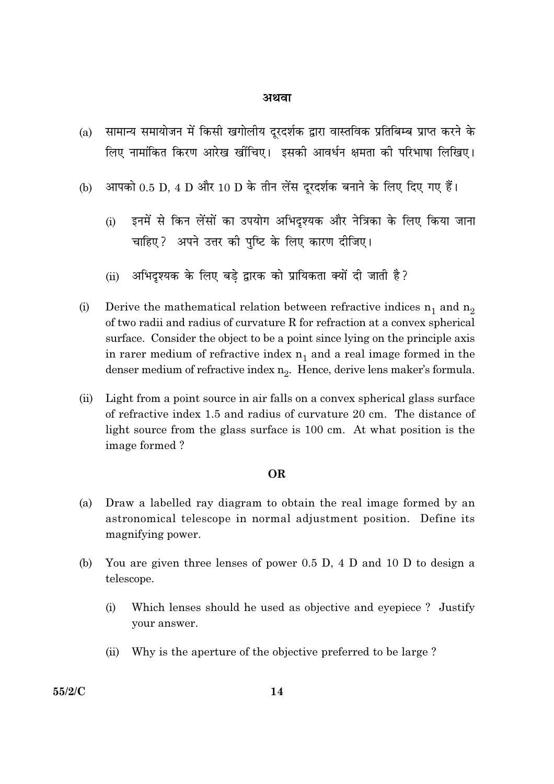- सामान्य समायोजन में किसी खगोलीय दूरदर्शक द्वारा वास्तविक प्रतिबिम्ब प्राप्त करने के  $(a)$ लिए नामांकित किरण आरेख खींचिए। इसकी आवर्धन क्षमता की परिभाषा लिखिए।
- आपको 0.5 D, 4 D और 10 D के तीन लेंस दूरदर्शक बनाने के लिए दिए गए हैं। (b)
	- इनमें से किन लेंसों का उपयोग अभिदृश्यक और नेत्रिका के लिए किया जाना  $(i)$ चाहिए? अपने उत्तर की पुष्टि के लिए कारण दीजिए।
	- अभिदृश्यक के लिए बड़े द्वारक को प्रायिकता क्यों दी जाती है?  $(ii)$
- Derive the mathematical relation between refractive indices  $n_1$  and  $n_2$  $(i)$ of two radii and radius of curvature R for refraction at a convex spherical surface. Consider the object to be a point since lying on the principle axis in rarer medium of refractive index  $n_1$  and a real image formed in the denser medium of refractive index  $n_2$ . Hence, derive lens maker's formula.
- Light from a point source in air falls on a convex spherical glass surface  $(ii)$ of refractive index 1.5 and radius of curvature 20 cm. The distance of light source from the glass surface is 100 cm. At what position is the image formed?

#### **OR**

- $(a)$ Draw a labelled ray diagram to obtain the real image formed by an astronomical telescope in normal adjustment position. Define its magnifying power.
- You are given three lenses of power 0.5 D, 4 D and 10 D to design a (b) telescope.
	- $(i)$ Which lenses should he used as objective and eyepiece? Justify your answer.
	- Why is the aperture of the objective preferred to be large?  $(ii)$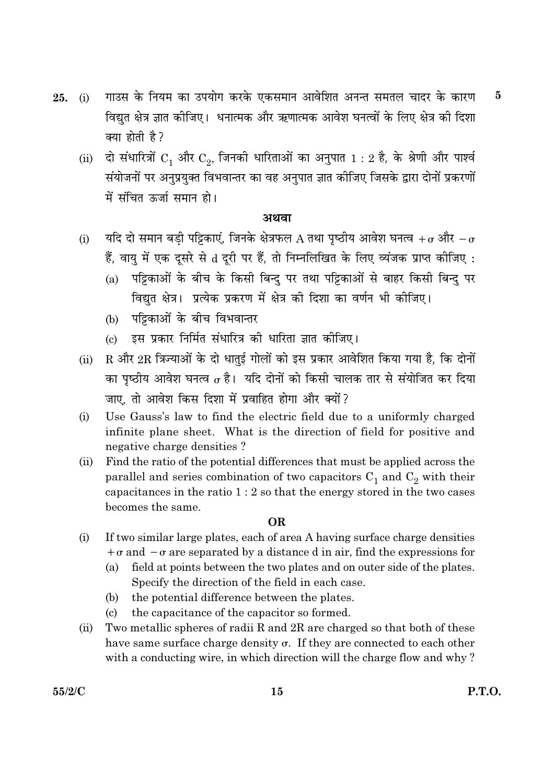- गाउस के नियम का उपयोग करके एकसमान आवेशित अनन्त समतल चादर के कारण  $\bf{5}$ 25.  $(i)$ विद्युत क्षेत्र ज्ञात कीजिए। धनात्मक और ऋणात्मक आवेश घनत्वों के लिए क्षेत्र की दिशा क्या होती है?
	- (ii) दो संधारित्रों  $C_1$  और  $C_2$ , जिनकी धारिताओं का अनुपात  $1:2$  है, के श्रेणी और पार्श्व संयोजनों पर अनुप्रयुक्त विभवान्तर का वह अनुपात ज्ञात कीजिए जिसके द्वारा दोनों प्रकरणों में संचित ऊर्जा समान हो।

- यदि दो समान बड़ी पट्टिकाएं, जिनके क्षेत्रफल A तथा पृष्ठीय आवेश घनत्व + $\sigma$  और  $-\sigma$  $(i)$ हैं, वायु में एक दूसरे से d दूरी पर हैं, तो निम्नलिखित के लिए व्यंजक प्राप्त कीजिए:
	- पट्टिकाओं के बीच के किसी बिन्दु पर तथा पट्टिकाओं से बाहर किसी बिन्दु पर  $(a)$ विद्युत क्षेत्र। प्रत्येक प्रकरण में क्षेत्र की दिशा का वर्णन भी कीजिए।
	- (b) पट्टिकाओं के बीच विभवान्तर
	- इस प्रकार निर्मित संधारित्र की धारिता ज्ञात कीजिए।  $\left( \mathrm{e}\right)$
- R और 2R त्रिज्याओं के दो धातुई गोलों को इस प्रकार आवेशित किया गया है, कि दोनों  $(ii)$ का पृष्ठीय आवेश घनत्व  $\sigma$  है। यदि दोनों को किसी चालक तार से संयोजित कर दिया जाए, तो आवेश किस दिशा में प्रवाहित होगा और क्यों?
- Use Gauss's law to find the electric field due to a uniformly charged  $(i)$ infinite plane sheet. What is the direction of field for positive and negative charge densities?
- $(ii)$ Find the ratio of the potential differences that must be applied across the parallel and series combination of two capacitors  $C_1$  and  $C_2$  with their capacitances in the ratio  $1:2$  so that the energy stored in the two cases becomes the same.

#### **OR**

- If two similar large plates, each of area A having surface charge densities  $(i)$  $+\sigma$  and  $-\sigma$  are separated by a distance d in air, find the expressions for
	- field at points between the two plates and on outer side of the plates.  $(a)$ Specify the direction of the field in each case.
	- the potential difference between the plates.  $(b)$
	- the capacitance of the capacitor so formed.  $\left( \mathrm{c}\right)$
- Two metallic spheres of radii R and 2R are charged so that both of these  $(ii)$ have same surface charge density  $\sigma$ . If they are connected to each other with a conducting wire, in which direction will the charge flow and why?